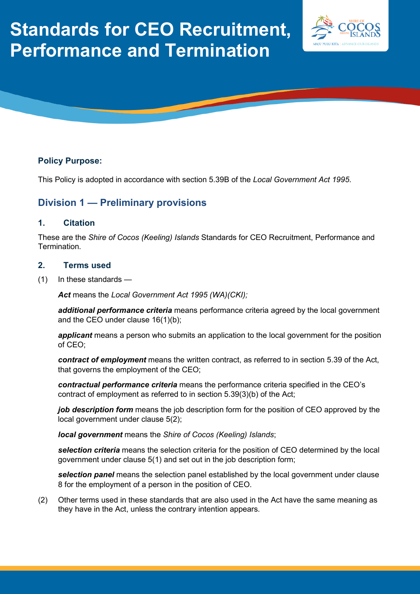# **Standards for CEO Recruitment, Performance and Termination**





# **Policy Purpose:**

This Policy is adopted in accordance with section 5.39B of the *Local Government Act 1995*.

# **Division 1 — Preliminary provisions**

#### **1. Citation**

These are the *Shire of Cocos (Keeling) Islands* Standards for CEO Recruitment, Performance and Termination.

#### **2. Terms used**

(1) In these standards —

*Act* means the *Local Government Act 1995 (WA)(CKI);*

*additional performance criteria* means performance criteria agreed by the local government and the CEO under clause 16(1)(b);

*applicant* means a person who submits an application to the local government for the position of CEO;

*contract of employment* means the written contract, as referred to in section 5.39 of the Act, that governs the employment of the CEO;

*contractual performance criteria* means the performance criteria specified in the CEO's contract of employment as referred to in section 5.39(3)(b) of the Act;

*job description form* means the job description form for the position of CEO approved by the local government under clause 5(2);

*local government* means the *Shire of Cocos (Keeling) Islands*;

*selection criteria* means the selection criteria for the position of CEO determined by the local government under clause 5(1) and set out in the job description form;

*selection panel* means the selection panel established by the local government under clause 8 for the employment of a person in the position of CEO.

(2) Other terms used in these standards that are also used in the Act have the same meaning as they have in the Act, unless the contrary intention appears.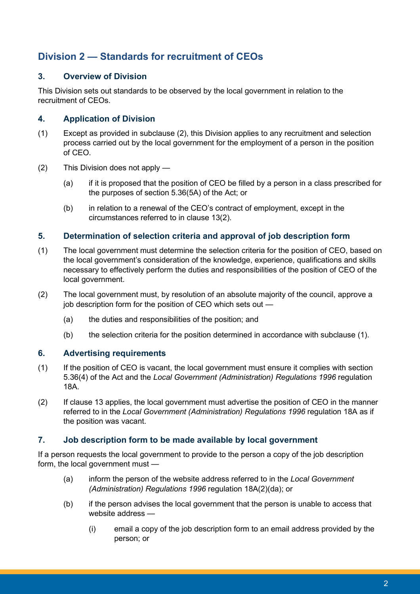# **Division 2 — Standards for recruitment of CEOs**

# **3. Overview of Division**

This Division sets out standards to be observed by the local government in relation to the recruitment of CEOs.

# **4. Application of Division**

- (1) Except as provided in subclause (2), this Division applies to any recruitment and selection process carried out by the local government for the employment of a person in the position of CEO.
- (2) This Division does not apply
	- (a) if it is proposed that the position of CEO be filled by a person in a class prescribed for the purposes of section 5.36(5A) of the Act; or
	- (b) in relation to a renewal of the CEO's contract of employment, except in the circumstances referred to in clause 13(2).

#### **5. Determination of selection criteria and approval of job description form**

- (1) The local government must determine the selection criteria for the position of CEO, based on the local government's consideration of the knowledge, experience, qualifications and skills necessary to effectively perform the duties and responsibilities of the position of CEO of the local government.
- (2) The local government must, by resolution of an absolute majority of the council, approve a job description form for the position of CEO which sets out —
	- (a) the duties and responsibilities of the position; and
	- (b) the selection criteria for the position determined in accordance with subclause (1).

# **6. Advertising requirements**

- (1) If the position of CEO is vacant, the local government must ensure it complies with section 5.36(4) of the Act and the *Local Government (Administration) Regulations 1996* regulation 18A.
- (2) If clause 13 applies, the local government must advertise the position of CEO in the manner referred to in the *Local Government (Administration) Regulations 1996* regulation 18A as if the position was vacant.

# **7. Job description form to be made available by local government**

If a person requests the local government to provide to the person a copy of the job description form, the local government must —

- (a) inform the person of the website address referred to in the *Local Government (Administration) Regulations 1996* regulation 18A(2)(da); or
- (b) if the person advises the local government that the person is unable to access that website address -
	- (i) email a copy of the job description form to an email address provided by the person; or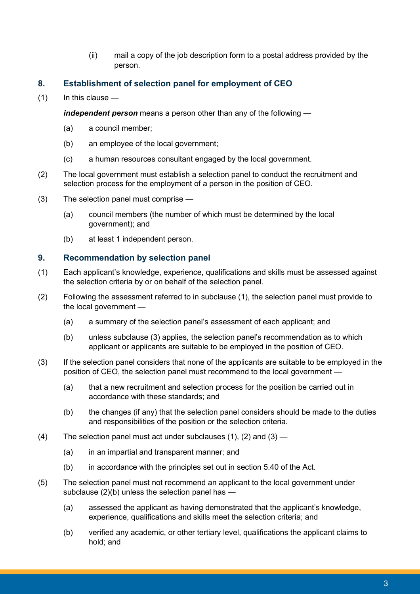(ii) mail a copy of the job description form to a postal address provided by the person.

# **8. Establishment of selection panel for employment of CEO**

 $(1)$  In this clause —

*independent person* means a person other than any of the following —

- (a) a council member;
- (b) an employee of the local government;
- (c) a human resources consultant engaged by the local government.
- (2) The local government must establish a selection panel to conduct the recruitment and selection process for the employment of a person in the position of CEO.
- (3) The selection panel must comprise
	- (a) council members (the number of which must be determined by the local government); and
	- (b) at least 1 independent person.

#### **9. Recommendation by selection panel**

- (1) Each applicant's knowledge, experience, qualifications and skills must be assessed against the selection criteria by or on behalf of the selection panel.
- (2) Following the assessment referred to in subclause (1), the selection panel must provide to the local government —
	- (a) a summary of the selection panel's assessment of each applicant; and
	- (b) unless subclause (3) applies, the selection panel's recommendation as to which applicant or applicants are suitable to be employed in the position of CEO.
- (3) If the selection panel considers that none of the applicants are suitable to be employed in the position of CEO, the selection panel must recommend to the local government —
	- (a) that a new recruitment and selection process for the position be carried out in accordance with these standards; and
	- (b) the changes (if any) that the selection panel considers should be made to the duties and responsibilities of the position or the selection criteria.
- (4) The selection panel must act under subclauses  $(1)$ ,  $(2)$  and  $(3)$ 
	- (a) in an impartial and transparent manner; and
	- (b) in accordance with the principles set out in section 5.40 of the Act.
- (5) The selection panel must not recommend an applicant to the local government under subclause  $(2)(b)$  unless the selection panel has  $-$ 
	- (a) assessed the applicant as having demonstrated that the applicant's knowledge, experience, qualifications and skills meet the selection criteria; and
	- (b) verified any academic, or other tertiary level, qualifications the applicant claims to hold; and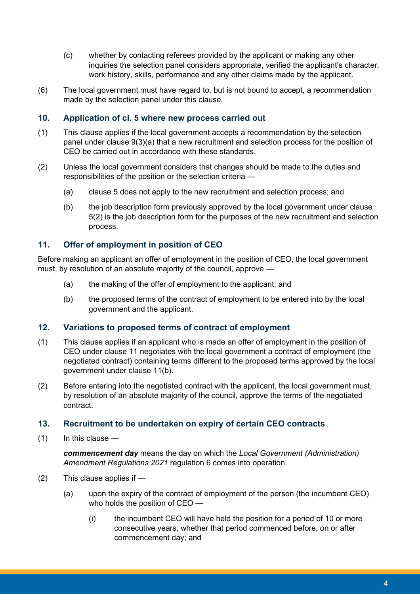- (c) whether by contacting referees provided by the applicant or making any other inquiries the selection panel considers appropriate, verified the applicant's character, work history, skills, performance and any other claims made by the applicant.
- (6) The local government must have regard to, but is not bound to accept, a recommendation made by the selection panel under this clause.

### **10. Application of cl. 5 where new process carried out**

- (1) This clause applies if the local government accepts a recommendation by the selection panel under clause 9(3)(a) that a new recruitment and selection process for the position of CEO be carried out in accordance with these standards.
- (2) Unless the local government considers that changes should be made to the duties and responsibilities of the position or the selection criteria —
	- (a) clause 5 does not apply to the new recruitment and selection process; and
	- (b) the job description form previously approved by the local government under clause 5(2) is the job description form for the purposes of the new recruitment and selection process.

#### **11. Offer of employment in position of CEO**

Before making an applicant an offer of employment in the position of CEO, the local government must, by resolution of an absolute majority of the council, approve —

- (a) the making of the offer of employment to the applicant; and
- (b) the proposed terms of the contract of employment to be entered into by the local government and the applicant.

#### **12. Variations to proposed terms of contract of employment**

- (1) This clause applies if an applicant who is made an offer of employment in the position of CEO under clause 11 negotiates with the local government a contract of employment (the negotiated contract) containing terms different to the proposed terms approved by the local government under clause 11(b).
- (2) Before entering into the negotiated contract with the applicant, the local government must, by resolution of an absolute majority of the council, approve the terms of the negotiated contract.

#### **13. Recruitment to be undertaken on expiry of certain CEO contracts**

 $(1)$  In this clause —

*commencement day* means the day on which the *Local Government (Administration) Amendment Regulations 2021* regulation 6 comes into operation.

- (2) This clause applies if
	- (a) upon the expiry of the contract of employment of the person (the incumbent CEO) who holds the position of CEO —
		- (i) the incumbent CEO will have held the position for a period of 10 or more consecutive years, whether that period commenced before, on or after commencement day; and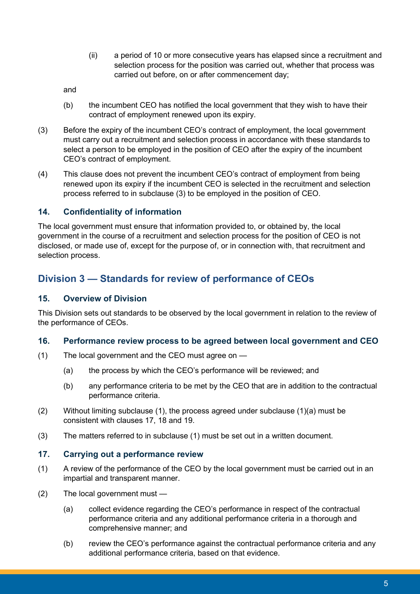(ii) a period of 10 or more consecutive years has elapsed since a recruitment and selection process for the position was carried out, whether that process was carried out before, on or after commencement day;

and

- (b) the incumbent CEO has notified the local government that they wish to have their contract of employment renewed upon its expiry.
- (3) Before the expiry of the incumbent CEO's contract of employment, the local government must carry out a recruitment and selection process in accordance with these standards to select a person to be employed in the position of CEO after the expiry of the incumbent CEO's contract of employment.
- (4) This clause does not prevent the incumbent CEO's contract of employment from being renewed upon its expiry if the incumbent CEO is selected in the recruitment and selection process referred to in subclause (3) to be employed in the position of CEO.

# **14. Confidentiality of information**

The local government must ensure that information provided to, or obtained by, the local government in the course of a recruitment and selection process for the position of CEO is not disclosed, or made use of, except for the purpose of, or in connection with, that recruitment and selection process.

# **Division 3 — Standards for review of performance of CEOs**

# **15. Overview of Division**

This Division sets out standards to be observed by the local government in relation to the review of the performance of CEOs.

#### **16. Performance review process to be agreed between local government and CEO**

- (1) The local government and the CEO must agree on
	- (a) the process by which the CEO's performance will be reviewed; and
	- (b) any performance criteria to be met by the CEO that are in addition to the contractual performance criteria.
- (2) Without limiting subclause (1), the process agreed under subclause (1)(a) must be consistent with clauses 17, 18 and 19.
- (3) The matters referred to in subclause (1) must be set out in a written document.

#### **17. Carrying out a performance review**

- (1) A review of the performance of the CEO by the local government must be carried out in an impartial and transparent manner.
- (2) The local government must
	- (a) collect evidence regarding the CEO's performance in respect of the contractual performance criteria and any additional performance criteria in a thorough and comprehensive manner; and
	- (b) review the CEO's performance against the contractual performance criteria and any additional performance criteria, based on that evidence.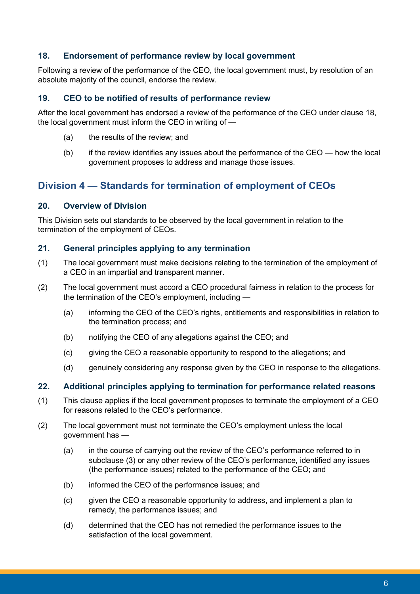# **18. Endorsement of performance review by local government**

Following a review of the performance of the CEO, the local government must, by resolution of an absolute majority of the council, endorse the review.

# **19. CEO to be notified of results of performance review**

After the local government has endorsed a review of the performance of the CEO under clause 18, the local government must inform the CEO in writing of —

- (a) the results of the review; and
- $(b)$  if the review identifies any issues about the performance of the CEO how the local government proposes to address and manage those issues.

# **Division 4 — Standards for termination of employment of CEOs**

# **20. Overview of Division**

This Division sets out standards to be observed by the local government in relation to the termination of the employment of CEOs.

# **21. General principles applying to any termination**

- (1) The local government must make decisions relating to the termination of the employment of a CEO in an impartial and transparent manner.
- (2) The local government must accord a CEO procedural fairness in relation to the process for the termination of the CEO's employment, including —
	- (a) informing the CEO of the CEO's rights, entitlements and responsibilities in relation to the termination process; and
	- (b) notifying the CEO of any allegations against the CEO; and
	- (c) giving the CEO a reasonable opportunity to respond to the allegations; and
	- (d) genuinely considering any response given by the CEO in response to the allegations.

#### **22. Additional principles applying to termination for performance related reasons**

- (1) This clause applies if the local government proposes to terminate the employment of a CEO for reasons related to the CEO's performance.
- (2) The local government must not terminate the CEO's employment unless the local government has —
	- (a) in the course of carrying out the review of the CEO's performance referred to in subclause (3) or any other review of the CEO's performance, identified any issues (the performance issues) related to the performance of the CEO; and
	- (b) informed the CEO of the performance issues; and
	- (c) given the CEO a reasonable opportunity to address, and implement a plan to remedy, the performance issues; and
	- (d) determined that the CEO has not remedied the performance issues to the satisfaction of the local government.